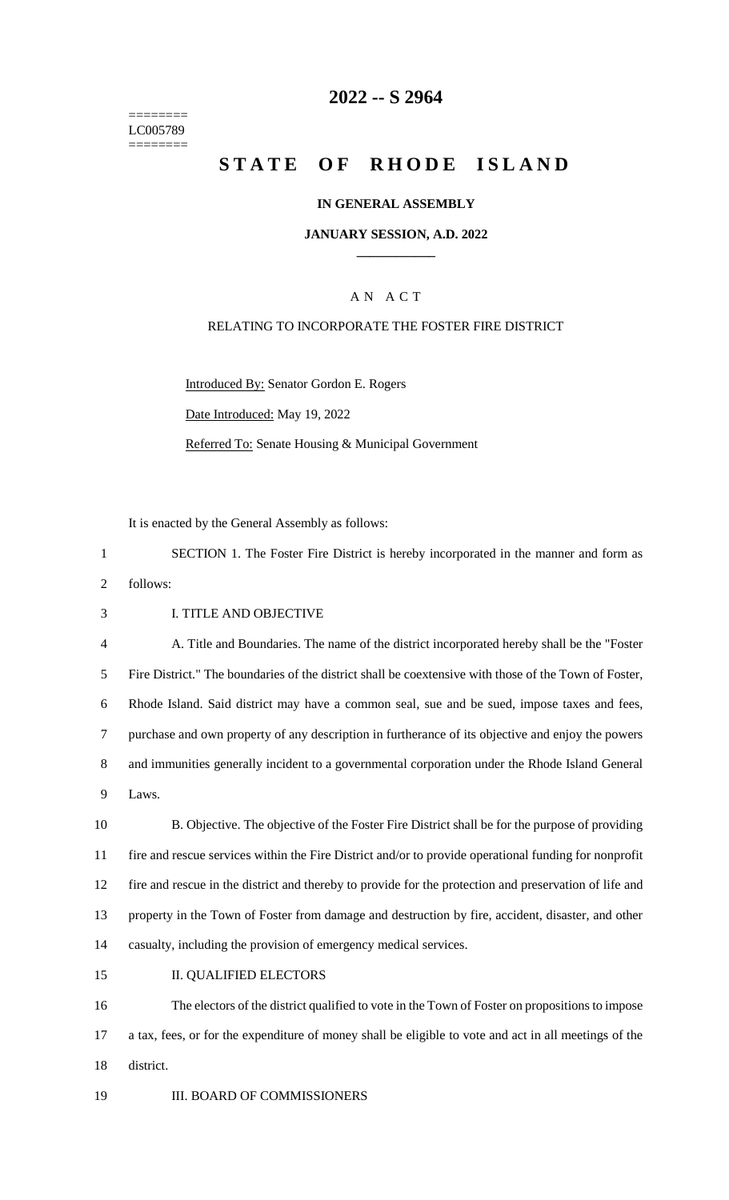======== LC005789 ========

## **2022 -- S 2964**

# **STATE OF RHODE ISLAND**

#### **IN GENERAL ASSEMBLY**

#### **JANUARY SESSION, A.D. 2022 \_\_\_\_\_\_\_\_\_\_\_\_**

## A N A C T

#### RELATING TO INCORPORATE THE FOSTER FIRE DISTRICT

Introduced By: Senator Gordon E. Rogers Date Introduced: May 19, 2022 Referred To: Senate Housing & Municipal Government

It is enacted by the General Assembly as follows:

1 SECTION 1. The Foster Fire District is hereby incorporated in the manner and form as

2 follows:

3 I. TITLE AND OBJECTIVE

 A. Title and Boundaries. The name of the district incorporated hereby shall be the "Foster Fire District." The boundaries of the district shall be coextensive with those of the Town of Foster, Rhode Island. Said district may have a common seal, sue and be sued, impose taxes and fees, purchase and own property of any description in furtherance of its objective and enjoy the powers and immunities generally incident to a governmental corporation under the Rhode Island General 9 Laws.

 B. Objective. The objective of the Foster Fire District shall be for the purpose of providing fire and rescue services within the Fire District and/or to provide operational funding for nonprofit fire and rescue in the district and thereby to provide for the protection and preservation of life and property in the Town of Foster from damage and destruction by fire, accident, disaster, and other casualty, including the provision of emergency medical services.

15 II. QUALIFIED ELECTORS

16 The electors of the district qualified to vote in the Town of Foster on propositions to impose 17 a tax, fees, or for the expenditure of money shall be eligible to vote and act in all meetings of the 18 district.

19 **III. BOARD OF COMMISSIONERS**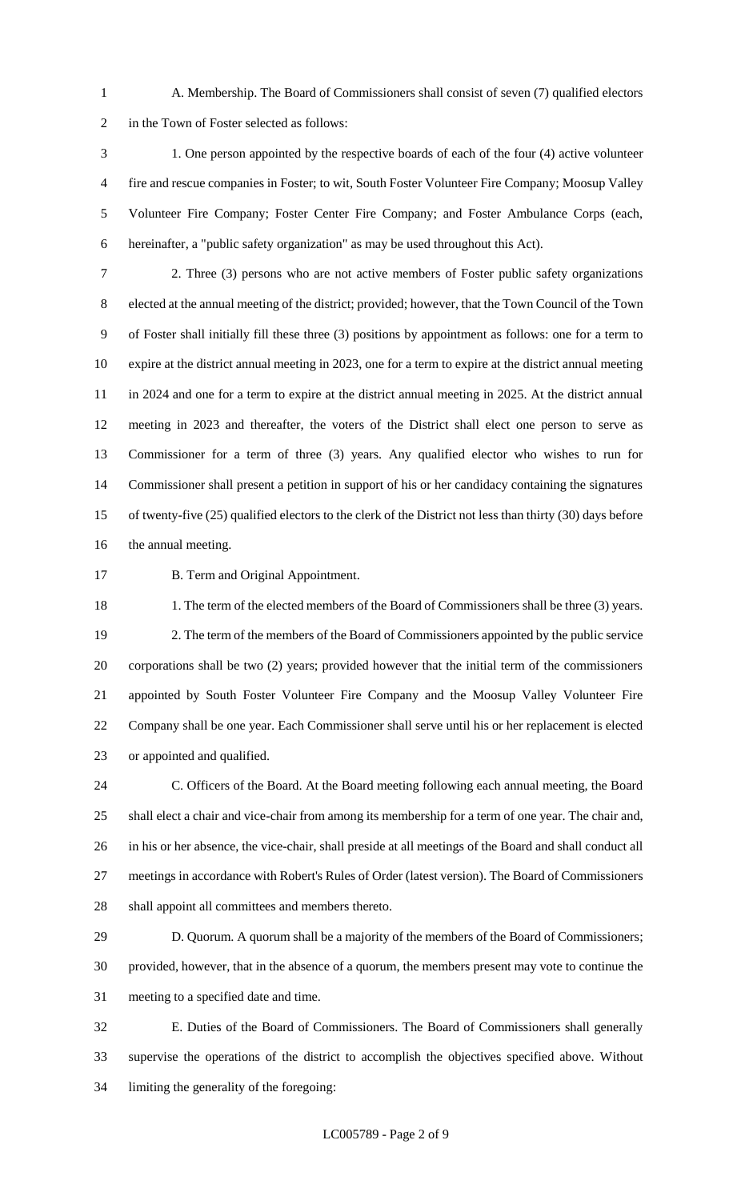A. Membership. The Board of Commissioners shall consist of seven (7) qualified electors in the Town of Foster selected as follows:

 1. One person appointed by the respective boards of each of the four (4) active volunteer fire and rescue companies in Foster; to wit, South Foster Volunteer Fire Company; Moosup Valley Volunteer Fire Company; Foster Center Fire Company; and Foster Ambulance Corps (each, hereinafter, a "public safety organization" as may be used throughout this Act).

 2. Three (3) persons who are not active members of Foster public safety organizations elected at the annual meeting of the district; provided; however, that the Town Council of the Town of Foster shall initially fill these three (3) positions by appointment as follows: one for a term to expire at the district annual meeting in 2023, one for a term to expire at the district annual meeting in 2024 and one for a term to expire at the district annual meeting in 2025. At the district annual meeting in 2023 and thereafter, the voters of the District shall elect one person to serve as Commissioner for a term of three (3) years. Any qualified elector who wishes to run for Commissioner shall present a petition in support of his or her candidacy containing the signatures of twenty-five (25) qualified electors to the clerk of the District not less than thirty (30) days before the annual meeting.

**B. Term and Original Appointment.** 

18 1. The term of the elected members of the Board of Commissioners shall be three (3) years. 2. The term of the members of the Board of Commissioners appointed by the public service corporations shall be two (2) years; provided however that the initial term of the commissioners appointed by South Foster Volunteer Fire Company and the Moosup Valley Volunteer Fire Company shall be one year. Each Commissioner shall serve until his or her replacement is elected or appointed and qualified.

 C. Officers of the Board. At the Board meeting following each annual meeting, the Board shall elect a chair and vice-chair from among its membership for a term of one year. The chair and, in his or her absence, the vice-chair, shall preside at all meetings of the Board and shall conduct all meetings in accordance with Robert's Rules of Order (latest version). The Board of Commissioners shall appoint all committees and members thereto.

 D. Quorum. A quorum shall be a majority of the members of the Board of Commissioners; provided, however, that in the absence of a quorum, the members present may vote to continue the meeting to a specified date and time.

 E. Duties of the Board of Commissioners. The Board of Commissioners shall generally supervise the operations of the district to accomplish the objectives specified above. Without limiting the generality of the foregoing: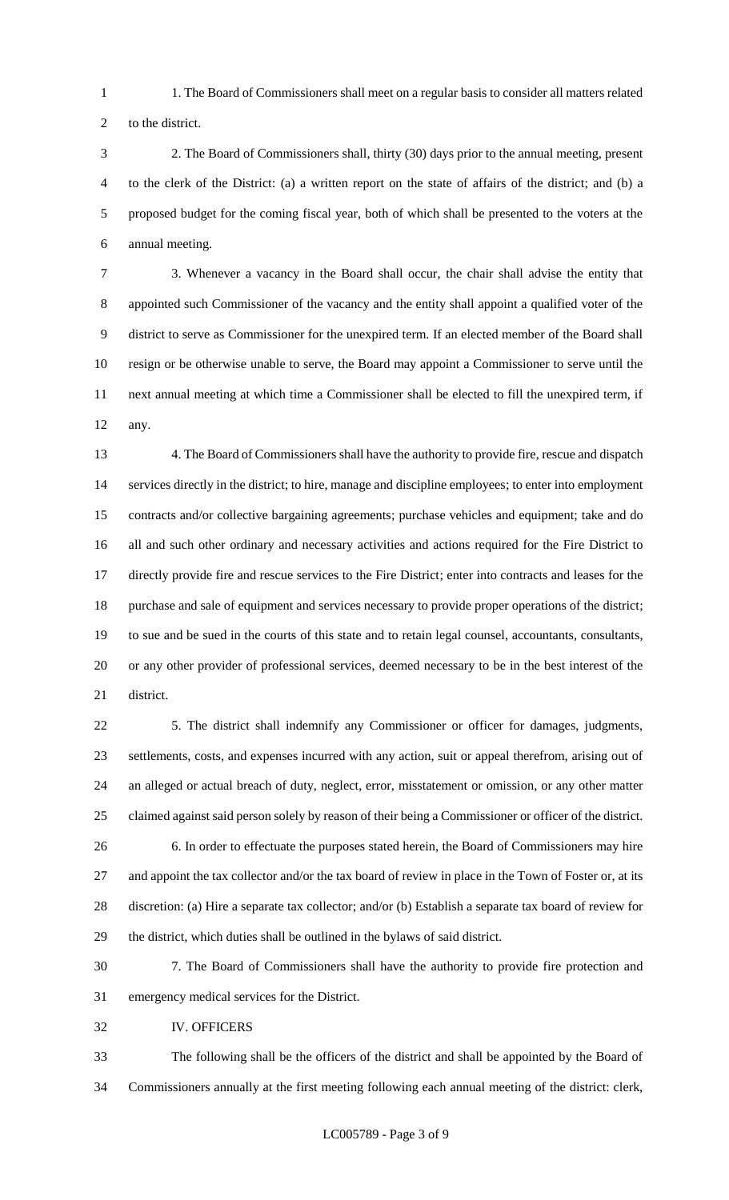- 1. The Board of Commissioners shall meet on a regular basis to consider all matters related
- to the district.
- 2. The Board of Commissioners shall, thirty (30) days prior to the annual meeting, present to the clerk of the District: (a) a written report on the state of affairs of the district; and (b) a proposed budget for the coming fiscal year, both of which shall be presented to the voters at the annual meeting.

 3. Whenever a vacancy in the Board shall occur, the chair shall advise the entity that appointed such Commissioner of the vacancy and the entity shall appoint a qualified voter of the district to serve as Commissioner for the unexpired term. If an elected member of the Board shall resign or be otherwise unable to serve, the Board may appoint a Commissioner to serve until the next annual meeting at which time a Commissioner shall be elected to fill the unexpired term, if any.

 4. The Board of Commissioners shall have the authority to provide fire, rescue and dispatch services directly in the district; to hire, manage and discipline employees; to enter into employment contracts and/or collective bargaining agreements; purchase vehicles and equipment; take and do all and such other ordinary and necessary activities and actions required for the Fire District to directly provide fire and rescue services to the Fire District; enter into contracts and leases for the purchase and sale of equipment and services necessary to provide proper operations of the district; to sue and be sued in the courts of this state and to retain legal counsel, accountants, consultants, or any other provider of professional services, deemed necessary to be in the best interest of the district.

 5. The district shall indemnify any Commissioner or officer for damages, judgments, settlements, costs, and expenses incurred with any action, suit or appeal therefrom, arising out of an alleged or actual breach of duty, neglect, error, misstatement or omission, or any other matter claimed against said person solely by reason of their being a Commissioner or officer of the district. 6. In order to effectuate the purposes stated herein, the Board of Commissioners may hire 27 and appoint the tax collector and/or the tax board of review in place in the Town of Foster or, at its discretion: (a) Hire a separate tax collector; and/or (b) Establish a separate tax board of review for the district, which duties shall be outlined in the bylaws of said district.

- 7. The Board of Commissioners shall have the authority to provide fire protection and emergency medical services for the District.
- IV. OFFICERS

 The following shall be the officers of the district and shall be appointed by the Board of Commissioners annually at the first meeting following each annual meeting of the district: clerk,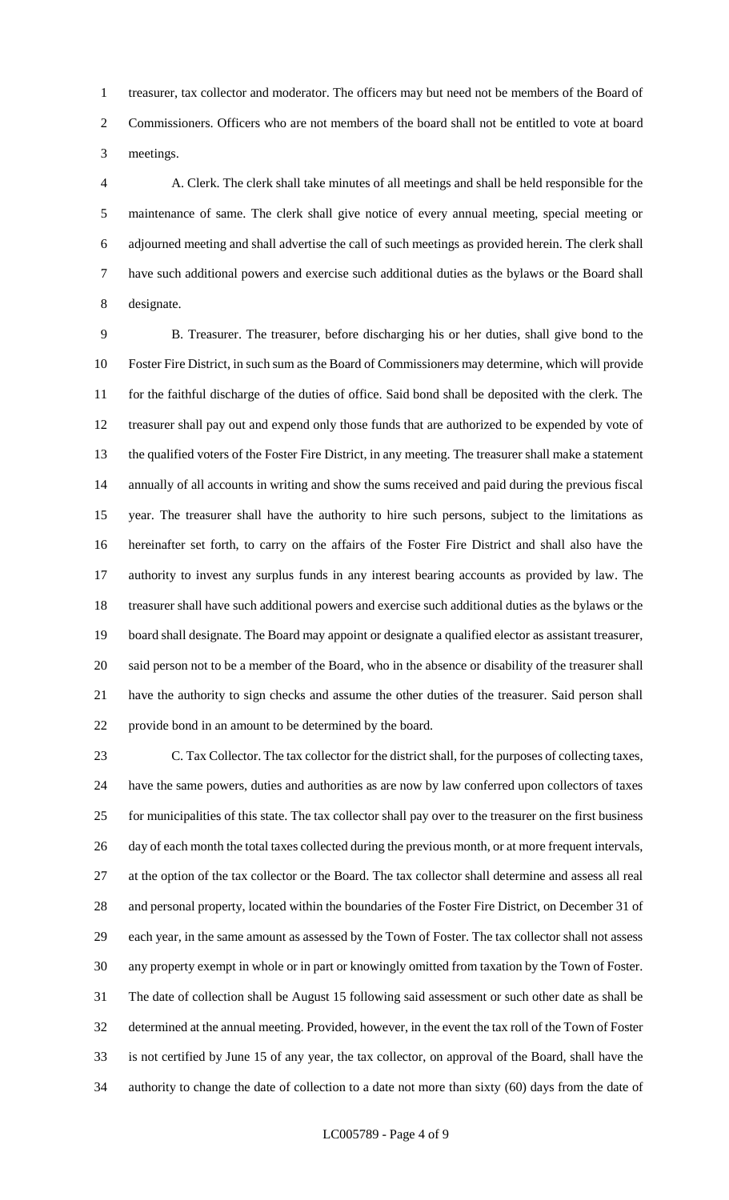treasurer, tax collector and moderator. The officers may but need not be members of the Board of Commissioners. Officers who are not members of the board shall not be entitled to vote at board meetings.

 A. Clerk. The clerk shall take minutes of all meetings and shall be held responsible for the maintenance of same. The clerk shall give notice of every annual meeting, special meeting or adjourned meeting and shall advertise the call of such meetings as provided herein. The clerk shall have such additional powers and exercise such additional duties as the bylaws or the Board shall designate.

 B. Treasurer. The treasurer, before discharging his or her duties, shall give bond to the Foster Fire District, in such sum as the Board of Commissioners may determine, which will provide for the faithful discharge of the duties of office. Said bond shall be deposited with the clerk. The treasurer shall pay out and expend only those funds that are authorized to be expended by vote of the qualified voters of the Foster Fire District, in any meeting. The treasurer shall make a statement annually of all accounts in writing and show the sums received and paid during the previous fiscal year. The treasurer shall have the authority to hire such persons, subject to the limitations as hereinafter set forth, to carry on the affairs of the Foster Fire District and shall also have the authority to invest any surplus funds in any interest bearing accounts as provided by law. The treasurer shall have such additional powers and exercise such additional duties as the bylaws or the board shall designate. The Board may appoint or designate a qualified elector as assistant treasurer, said person not to be a member of the Board, who in the absence or disability of the treasurer shall have the authority to sign checks and assume the other duties of the treasurer. Said person shall provide bond in an amount to be determined by the board.

 C. Tax Collector. The tax collector for the district shall, for the purposes of collecting taxes, have the same powers, duties and authorities as are now by law conferred upon collectors of taxes for municipalities of this state. The tax collector shall pay over to the treasurer on the first business 26 day of each month the total taxes collected during the previous month, or at more frequent intervals, at the option of the tax collector or the Board. The tax collector shall determine and assess all real and personal property, located within the boundaries of the Foster Fire District, on December 31 of each year, in the same amount as assessed by the Town of Foster. The tax collector shall not assess any property exempt in whole or in part or knowingly omitted from taxation by the Town of Foster. The date of collection shall be August 15 following said assessment or such other date as shall be determined at the annual meeting. Provided, however, in the event the tax roll of the Town of Foster is not certified by June 15 of any year, the tax collector, on approval of the Board, shall have the authority to change the date of collection to a date not more than sixty (60) days from the date of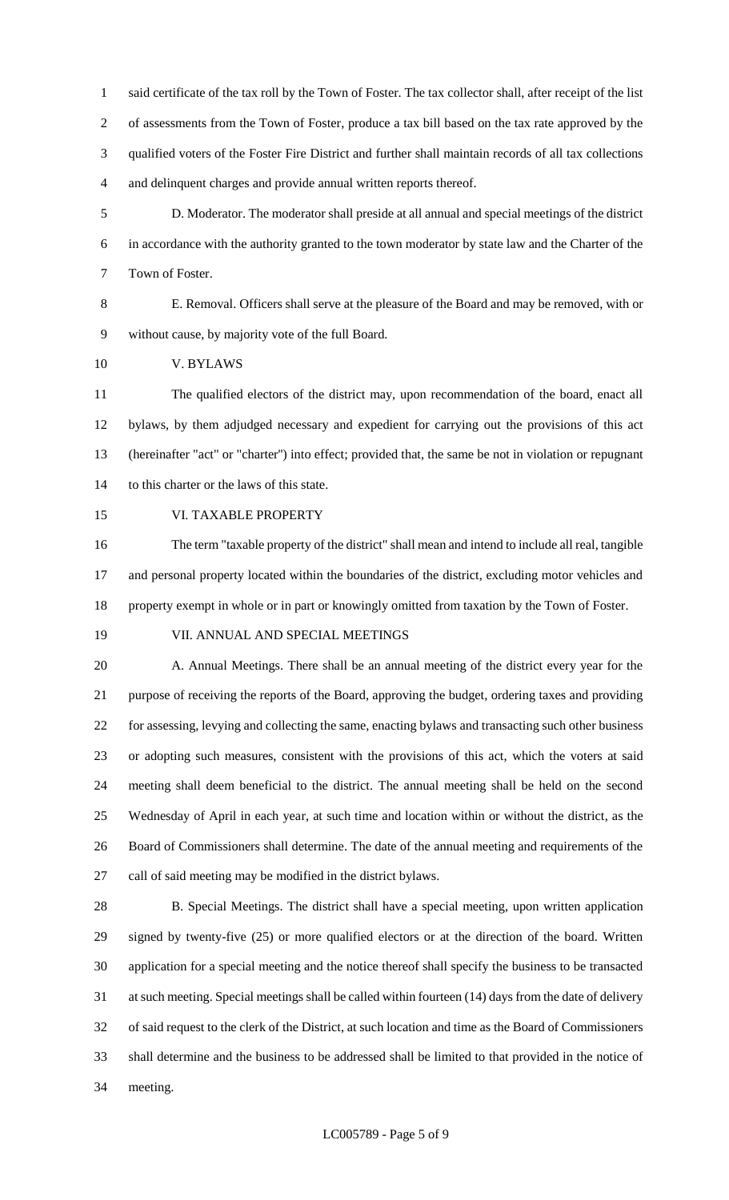said certificate of the tax roll by the Town of Foster. The tax collector shall, after receipt of the list of assessments from the Town of Foster, produce a tax bill based on the tax rate approved by the qualified voters of the Foster Fire District and further shall maintain records of all tax collections and delinquent charges and provide annual written reports thereof.

 D. Moderator. The moderator shall preside at all annual and special meetings of the district in accordance with the authority granted to the town moderator by state law and the Charter of the Town of Foster.

 E. Removal. Officers shall serve at the pleasure of the Board and may be removed, with or without cause, by majority vote of the full Board.

V. BYLAWS

 The qualified electors of the district may, upon recommendation of the board, enact all bylaws, by them adjudged necessary and expedient for carrying out the provisions of this act (hereinafter "act" or "charter'') into effect; provided that, the same be not in violation or repugnant to this charter or the laws of this state.

VI. TAXABLE PROPERTY

 The term "taxable property of the district" shall mean and intend to include all real, tangible and personal property located within the boundaries of the district, excluding motor vehicles and property exempt in whole or in part or knowingly omitted from taxation by the Town of Foster.

#### VII. ANNUAL AND SPECIAL MEETINGS

 A. Annual Meetings. There shall be an annual meeting of the district every year for the purpose of receiving the reports of the Board, approving the budget, ordering taxes and providing for assessing, levying and collecting the same, enacting bylaws and transacting such other business or adopting such measures, consistent with the provisions of this act, which the voters at said meeting shall deem beneficial to the district. The annual meeting shall be held on the second Wednesday of April in each year, at such time and location within or without the district, as the Board of Commissioners shall determine. The date of the annual meeting and requirements of the call of said meeting may be modified in the district bylaws.

 B. Special Meetings. The district shall have a special meeting, upon written application signed by twenty-five (25) or more qualified electors or at the direction of the board. Written application for a special meeting and the notice thereof shall specify the business to be transacted at such meeting. Special meetings shall be called within fourteen (14) days from the date of delivery of said request to the clerk of the District, at such location and time as the Board of Commissioners shall determine and the business to be addressed shall be limited to that provided in the notice of meeting.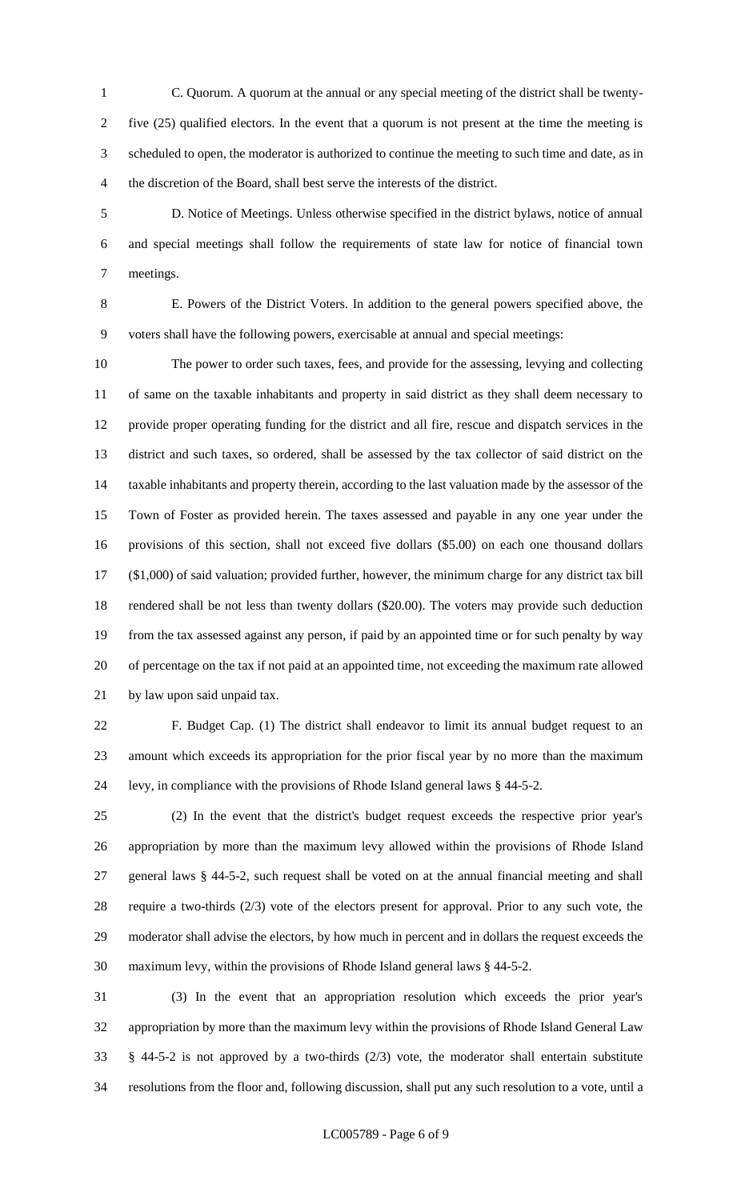- C. Quorum. A quorum at the annual or any special meeting of the district shall be twenty- five (25) qualified electors. In the event that a quorum is not present at the time the meeting is scheduled to open, the moderator is authorized to continue the meeting to such time and date, as in the discretion of the Board, shall best serve the interests of the district.
- D. Notice of Meetings. Unless otherwise specified in the district bylaws, notice of annual and special meetings shall follow the requirements of state law for notice of financial town meetings.

 E. Powers of the District Voters. In addition to the general powers specified above, the voters shall have the following powers, exercisable at annual and special meetings:

 The power to order such taxes, fees, and provide for the assessing, levying and collecting of same on the taxable inhabitants and property in said district as they shall deem necessary to provide proper operating funding for the district and all fire, rescue and dispatch services in the district and such taxes, so ordered, shall be assessed by the tax collector of said district on the taxable inhabitants and property therein, according to the last valuation made by the assessor of the Town of Foster as provided herein. The taxes assessed and payable in any one year under the provisions of this section, shall not exceed five dollars (\$5.00) on each one thousand dollars (\$1,000) of said valuation; provided further, however, the minimum charge for any district tax bill rendered shall be not less than twenty dollars (\$20.00). The voters may provide such deduction from the tax assessed against any person, if paid by an appointed time or for such penalty by way of percentage on the tax if not paid at an appointed time, not exceeding the maximum rate allowed by law upon said unpaid tax.

 F. Budget Cap. (1) The district shall endeavor to limit its annual budget request to an amount which exceeds its appropriation for the prior fiscal year by no more than the maximum levy, in compliance with the provisions of Rhode Island general laws § 44-5-2.

 (2) In the event that the district's budget request exceeds the respective prior year's appropriation by more than the maximum levy allowed within the provisions of Rhode Island general laws § 44-5-2, such request shall be voted on at the annual financial meeting and shall require a two-thirds (2/3) vote of the electors present for approval. Prior to any such vote, the moderator shall advise the electors, by how much in percent and in dollars the request exceeds the maximum levy, within the provisions of Rhode Island general laws § 44-5-2.

 (3) In the event that an appropriation resolution which exceeds the prior year's appropriation by more than the maximum levy within the provisions of Rhode Island General Law § 44-5-2 is not approved by a two-thirds (2/3) vote, the moderator shall entertain substitute resolutions from the floor and, following discussion, shall put any such resolution to a vote, until a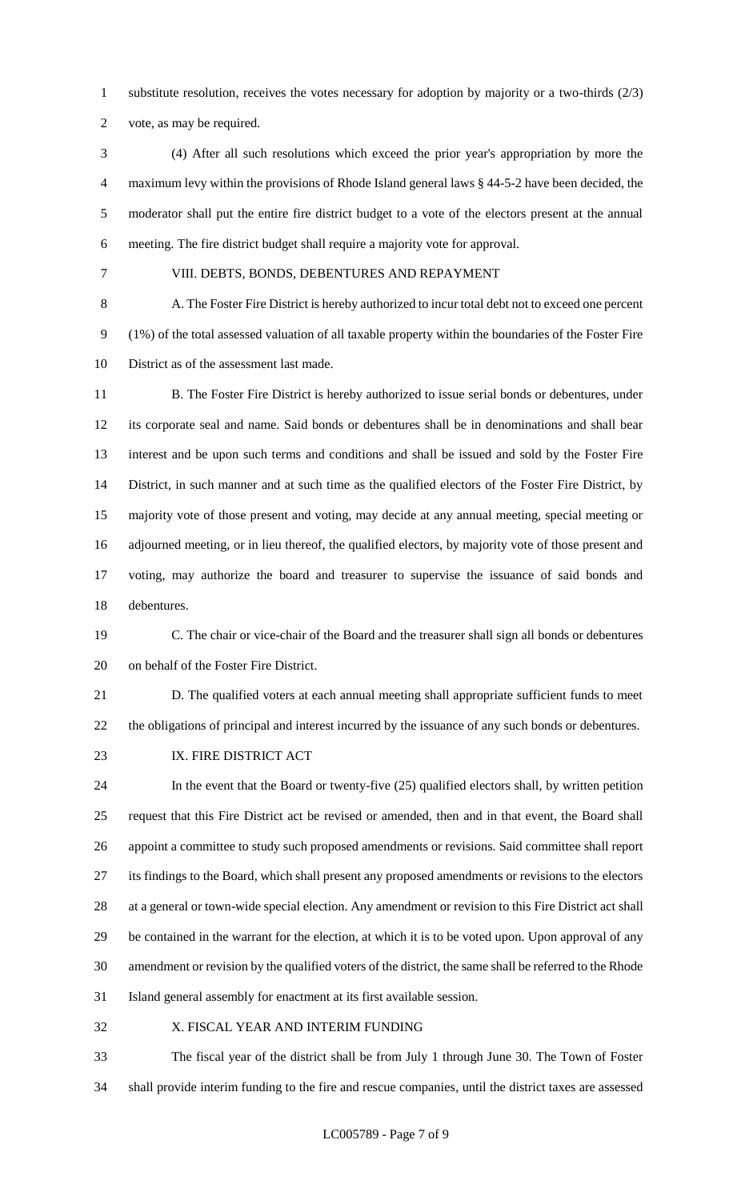substitute resolution, receives the votes necessary for adoption by majority or a two-thirds (2/3)

vote, as may be required.

- (4) After all such resolutions which exceed the prior year's appropriation by more the maximum levy within the provisions of Rhode Island general laws § 44-5-2 have been decided, the moderator shall put the entire fire district budget to a vote of the electors present at the annual meeting. The fire district budget shall require a majority vote for approval.
- 

#### VIII. DEBTS, BONDS, DEBENTURES AND REPAYMENT

 A. The Foster Fire District is hereby authorized to incur total debt not to exceed one percent (1%) of the total assessed valuation of all taxable property within the boundaries of the Foster Fire District as of the assessment last made.

11 B. The Foster Fire District is hereby authorized to issue serial bonds or debentures, under its corporate seal and name. Said bonds or debentures shall be in denominations and shall bear interest and be upon such terms and conditions and shall be issued and sold by the Foster Fire District, in such manner and at such time as the qualified electors of the Foster Fire District, by majority vote of those present and voting, may decide at any annual meeting, special meeting or adjourned meeting, or in lieu thereof, the qualified electors, by majority vote of those present and voting, may authorize the board and treasurer to supervise the issuance of said bonds and debentures.

 C. The chair or vice-chair of the Board and the treasurer shall sign all bonds or debentures on behalf of the Foster Fire District.

 D. The qualified voters at each annual meeting shall appropriate sufficient funds to meet the obligations of principal and interest incurred by the issuance of any such bonds or debentures.

23 IX. FIRE DISTRICT ACT

 In the event that the Board or twenty-five (25) qualified electors shall, by written petition request that this Fire District act be revised or amended, then and in that event, the Board shall appoint a committee to study such proposed amendments or revisions. Said committee shall report its findings to the Board, which shall present any proposed amendments or revisions to the electors at a general or town-wide special election. Any amendment or revision to this Fire District act shall be contained in the warrant for the election, at which it is to be voted upon. Upon approval of any amendment or revision by the qualified voters of the district, the same shall be referred to the Rhode Island general assembly for enactment at its first available session.

X. FISCAL YEAR AND INTERIM FUNDING

 The fiscal year of the district shall be from July 1 through June 30. The Town of Foster shall provide interim funding to the fire and rescue companies, until the district taxes are assessed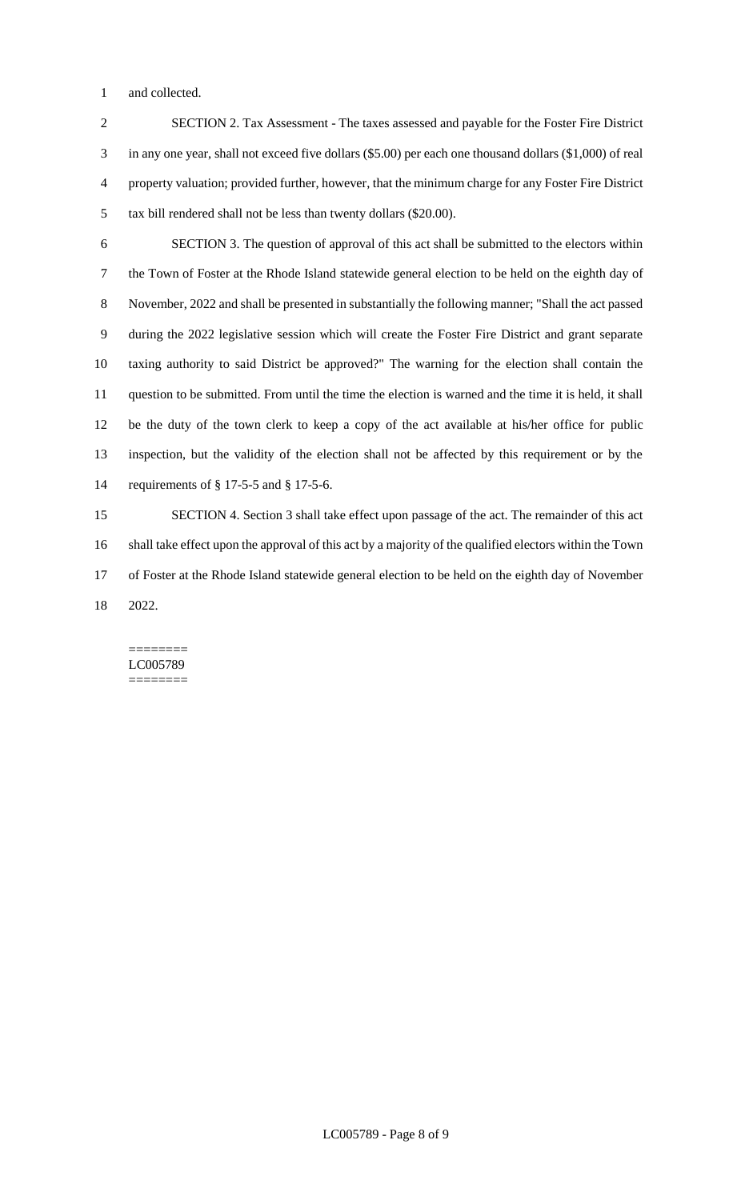and collected.

 SECTION 2. Tax Assessment - The taxes assessed and payable for the Foster Fire District in any one year, shall not exceed five dollars (\$5.00) per each one thousand dollars (\$1,000) of real property valuation; provided further, however, that the minimum charge for any Foster Fire District tax bill rendered shall not be less than twenty dollars (\$20.00).

 SECTION 3. The question of approval of this act shall be submitted to the electors within the Town of Foster at the Rhode Island statewide general election to be held on the eighth day of November, 2022 and shall be presented in substantially the following manner; "Shall the act passed during the 2022 legislative session which will create the Foster Fire District and grant separate taxing authority to said District be approved?" The warning for the election shall contain the question to be submitted. From until the time the election is warned and the time it is held, it shall be the duty of the town clerk to keep a copy of the act available at his/her office for public inspection, but the validity of the election shall not be affected by this requirement or by the requirements of § 17-5-5 and § 17-5-6.

 SECTION 4. Section 3 shall take effect upon passage of the act. The remainder of this act shall take effect upon the approval of this act by a majority of the qualified electors within the Town of Foster at the Rhode Island statewide general election to be held on the eighth day of November 2022.

======== LC005789 ========